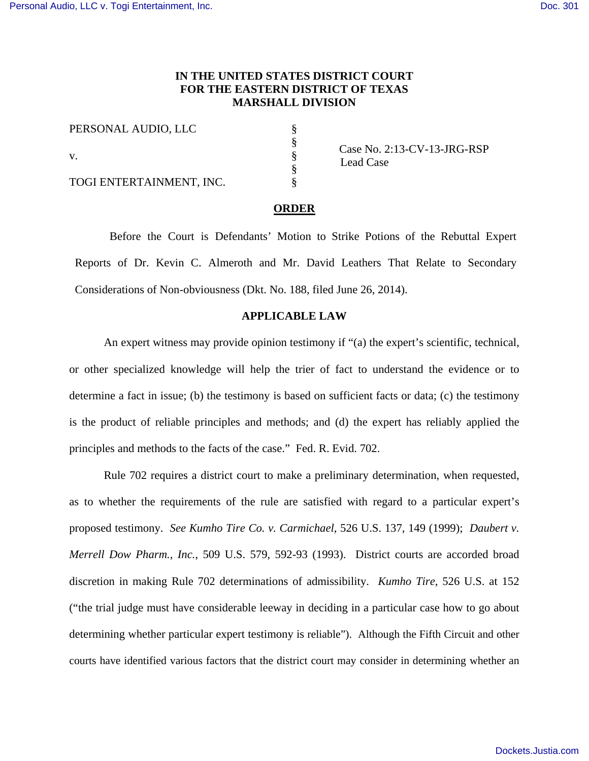# **IN THE UNITED STATES DISTRICT COURT FOR THE EASTERN DISTRICT OF TEXAS MARSHALL DIVISION**

§ § § § §

PERSONAL AUDIO, LLC v. TOGI ENTERTAINMENT, INC.

 Case No. 2:13-CV-13-JRG-RSP Lead Case

#### **ORDER**

Before the Court is Defendants' Motion to Strike Potions of the Rebuttal Expert Reports of Dr. Kevin C. Almeroth and Mr. David Leathers That Relate to Secondary Considerations of Non-obviousness (Dkt. No. 188, filed June 26, 2014).

### **APPLICABLE LAW**

An expert witness may provide opinion testimony if "(a) the expert's scientific, technical, or other specialized knowledge will help the trier of fact to understand the evidence or to determine a fact in issue; (b) the testimony is based on sufficient facts or data; (c) the testimony is the product of reliable principles and methods; and (d) the expert has reliably applied the principles and methods to the facts of the case." Fed. R. Evid. 702.

Rule 702 requires a district court to make a preliminary determination, when requested, as to whether the requirements of the rule are satisfied with regard to a particular expert's proposed testimony. *See Kumho Tire Co. v. Carmichael*, 526 U.S. 137, 149 (1999); *Daubert v. Merrell Dow Pharm., Inc.*, 509 U.S. 579, 592-93 (1993). District courts are accorded broad discretion in making Rule 702 determinations of admissibility. *Kumho Tire*, 526 U.S. at 152 ("the trial judge must have considerable leeway in deciding in a particular case how to go about determining whether particular expert testimony is reliable"). Although the Fifth Circuit and other courts have identified various factors that the district court may consider in determining whether an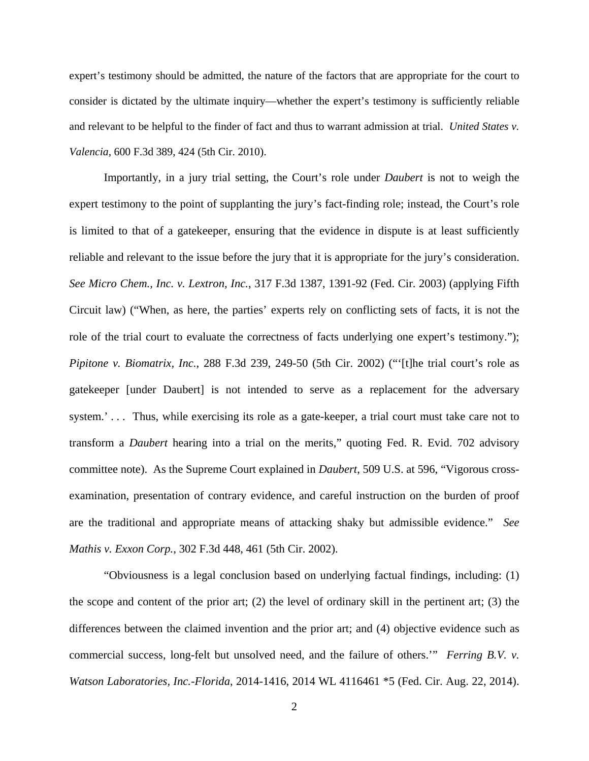expert's testimony should be admitted, the nature of the factors that are appropriate for the court to consider is dictated by the ultimate inquiry—whether the expert's testimony is sufficiently reliable and relevant to be helpful to the finder of fact and thus to warrant admission at trial. *United States v. Valencia*, 600 F.3d 389, 424 (5th Cir. 2010).

Importantly, in a jury trial setting, the Court's role under *Daubert* is not to weigh the expert testimony to the point of supplanting the jury's fact-finding role; instead, the Court's role is limited to that of a gatekeeper, ensuring that the evidence in dispute is at least sufficiently reliable and relevant to the issue before the jury that it is appropriate for the jury's consideration. *See Micro Chem., Inc. v. Lextron, Inc.*, 317 F.3d 1387, 1391-92 (Fed. Cir. 2003) (applying Fifth Circuit law) ("When, as here, the parties' experts rely on conflicting sets of facts, it is not the role of the trial court to evaluate the correctness of facts underlying one expert's testimony."); *Pipitone v. Biomatrix, Inc.*, 288 F.3d 239, 249-50 (5th Cir. 2002) ("'[t]he trial court's role as gatekeeper [under Daubert] is not intended to serve as a replacement for the adversary system.'... Thus, while exercising its role as a gate-keeper, a trial court must take care not to transform a *Daubert* hearing into a trial on the merits," quoting Fed. R. Evid. 702 advisory committee note). As the Supreme Court explained in *Daubert*, 509 U.S. at 596, "Vigorous crossexamination, presentation of contrary evidence, and careful instruction on the burden of proof are the traditional and appropriate means of attacking shaky but admissible evidence." *See Mathis v. Exxon Corp.*, 302 F.3d 448, 461 (5th Cir. 2002).

"Obviousness is a legal conclusion based on underlying factual findings, including: (1) the scope and content of the prior art; (2) the level of ordinary skill in the pertinent art; (3) the differences between the claimed invention and the prior art; and (4) objective evidence such as commercial success, long-felt but unsolved need, and the failure of others.'" *Ferring B.V. v. Watson Laboratories, Inc.-Florida*, 2014-1416, 2014 WL 4116461 \*5 (Fed. Cir. Aug. 22, 2014).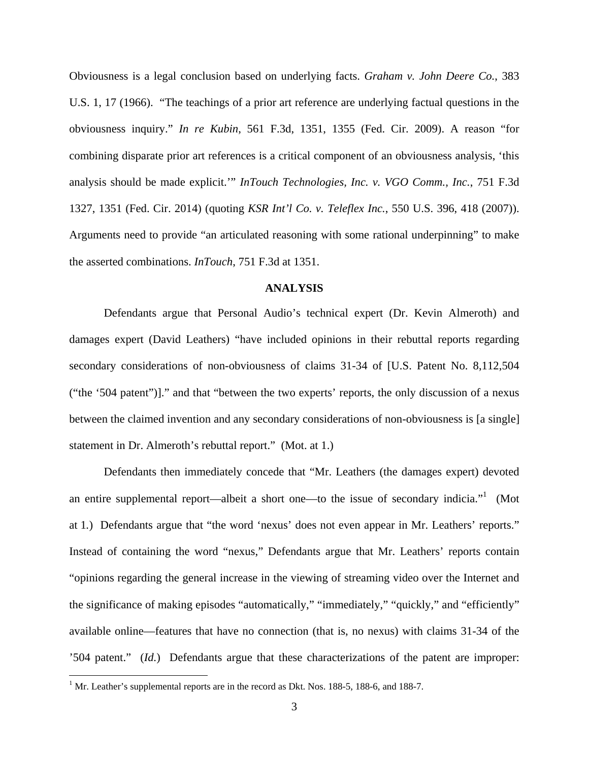Obviousness is a legal conclusion based on underlying facts. *Graham v. John Deere Co.*, 383 U.S. 1, 17 (1966). "The teachings of a prior art reference are underlying factual questions in the obviousness inquiry." *In re Kubin*, 561 F.3d, 1351, 1355 (Fed. Cir. 2009). A reason "for combining disparate prior art references is a critical component of an obviousness analysis, 'this analysis should be made explicit.'" *InTouch Technologies, Inc. v. VGO Comm., Inc.*, 751 F.3d 1327, 1351 (Fed. Cir. 2014) (quoting *KSR Int'l Co. v. Teleflex Inc.*, 550 U.S. 396, 418 (2007)). Arguments need to provide "an articulated reasoning with some rational underpinning" to make the asserted combinations. *InTouch*, 751 F.3d at 1351.

#### **ANALYSIS**

Defendants argue that Personal Audio's technical expert (Dr. Kevin Almeroth) and damages expert (David Leathers) "have included opinions in their rebuttal reports regarding secondary considerations of non-obviousness of claims 31-34 of [U.S. Patent No. 8,112,504 ("the '504 patent")]." and that "between the two experts' reports, the only discussion of a nexus between the claimed invention and any secondary considerations of non-obviousness is [a single] statement in Dr. Almeroth's rebuttal report." (Mot. at 1.)

Defendants then immediately concede that "Mr. Leathers (the damages expert) devoted an entire supplemental report—albeit a short one—to the issue of secondary indicia."<sup>1</sup> (Mot at 1*.*) Defendants argue that "the word 'nexus' does not even appear in Mr. Leathers' reports." Instead of containing the word "nexus," Defendants argue that Mr. Leathers' reports contain "opinions regarding the general increase in the viewing of streaming video over the Internet and the significance of making episodes "automatically," "immediately," "quickly," and "efficiently" available online—features that have no connection (that is, no nexus) with claims 31-34 of the '504 patent." (*Id.*) Defendants argue that these characterizations of the patent are improper:

 1 Mr. Leather's supplemental reports are in the record as Dkt. Nos. 188-5, 188-6, and 188-7.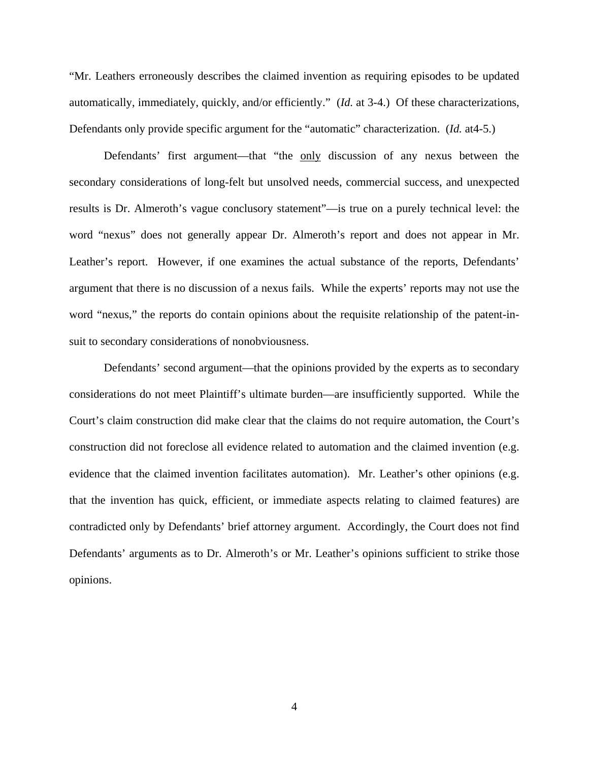"Mr. Leathers erroneously describes the claimed invention as requiring episodes to be updated automatically, immediately, quickly, and/or efficiently." (*Id.* at 3-4.) Of these characterizations, Defendants only provide specific argument for the "automatic" characterization. (*Id.* at4-5.)

Defendants' first argument—that "the only discussion of any nexus between the secondary considerations of long-felt but unsolved needs, commercial success, and unexpected results is Dr. Almeroth's vague conclusory statement"—is true on a purely technical level: the word "nexus" does not generally appear Dr. Almeroth's report and does not appear in Mr. Leather's report. However, if one examines the actual substance of the reports, Defendants' argument that there is no discussion of a nexus fails. While the experts' reports may not use the word "nexus," the reports do contain opinions about the requisite relationship of the patent-insuit to secondary considerations of nonobviousness.

Defendants' second argument—that the opinions provided by the experts as to secondary considerations do not meet Plaintiff's ultimate burden—are insufficiently supported. While the Court's claim construction did make clear that the claims do not require automation, the Court's construction did not foreclose all evidence related to automation and the claimed invention (e.g. evidence that the claimed invention facilitates automation). Mr. Leather's other opinions (e.g. that the invention has quick, efficient, or immediate aspects relating to claimed features) are contradicted only by Defendants' brief attorney argument. Accordingly, the Court does not find Defendants' arguments as to Dr. Almeroth's or Mr. Leather's opinions sufficient to strike those opinions.